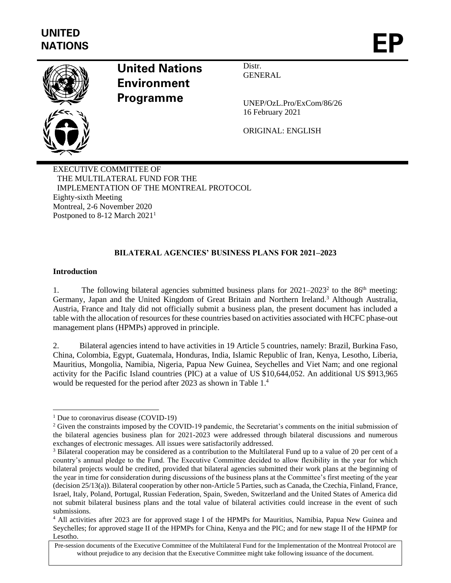

# **United Nations Environment Programme**

Distr. **GENERAL** 

UNEP/OzL.Pro/ExCom/86/26 16 February 2021

ORIGINAL: ENGLISH

EXECUTIVE COMMITTEE OF THE MULTILATERAL FUND FOR THE IMPLEMENTATION OF THE MONTREAL PROTOCOL Eighty-sixth Meeting Montreal, 2-6 November 2020 Postponed to 8-12 March 2021<sup>1</sup>

## **BILATERAL AGENCIES' BUSINESS PLANS FOR 2021–2023**

## **Introduction**

1. The following bilateral agencies submitted business plans for 2021–2023<sup>2</sup> to the 86<sup>th</sup> meeting: Germany, Japan and the United Kingdom of Great Britain and Northern Ireland.<sup>3</sup> Although Australia, Austria, France and Italy did not officially submit a business plan, the present document has included a table with the allocation of resources for these countries based on activities associated with HCFC phase-out management plans (HPMPs) approved in principle.

2. Bilateral agencies intend to have activities in 19 Article 5 countries, namely: Brazil, Burkina Faso, China, Colombia, Egypt, Guatemala, Honduras, India, Islamic Republic of Iran, Kenya, Lesotho, Liberia, Mauritius, Mongolia, Namibia, Nigeria, Papua New Guinea, Seychelles and Viet Nam; and one regional activity for the Pacific Island countries (PIC) at a value of US \$10,644,052. An additional US \$913,965 would be requested for the period after 2023 as shown in Table 1.<sup>4</sup>

<sup>&</sup>lt;sup>1</sup> Due to coronavirus disease (COVID-19)

<sup>&</sup>lt;sup>2</sup> Given the constraints imposed by the COVID-19 pandemic, the Secretariat's comments on the initial submission of the bilateral agencies business plan for 2021-2023 were addressed through bilateral discussions and numerous exchanges of electronic messages. All issues were satisfactorily addressed.

<sup>&</sup>lt;sup>3</sup> Bilateral cooperation may be considered as a contribution to the Multilateral Fund up to a value of 20 per cent of a country's annual pledge to the Fund. The Executive Committee decided to allow flexibility in the year for which bilateral projects would be credited, provided that bilateral agencies submitted their work plans at the beginning of the year in time for consideration during discussions of the business plans at the Committee's first meeting of the year (decision 25/13(a)). Bilateral cooperation by other non-Article 5 Parties, such as Canada, the Czechia, Finland, France, Israel, Italy, Poland, Portugal, Russian Federation, Spain, Sweden, Switzerland and the United States of America did not submit bilateral business plans and the total value of bilateral activities could increase in the event of such submissions.

<sup>4</sup> All activities after 2023 are for approved stage I of the HPMPs for Mauritius, Namibia, Papua New Guinea and Seychelles; for approved stage II of the HPMPs for China, Kenya and the PIC; and for new stage II of the HPMP for Lesotho.

Pre-session documents of the Executive Committee of the Multilateral Fund for the Implementation of the Montreal Protocol are without prejudice to any decision that the Executive Committee might take following issuance of the document.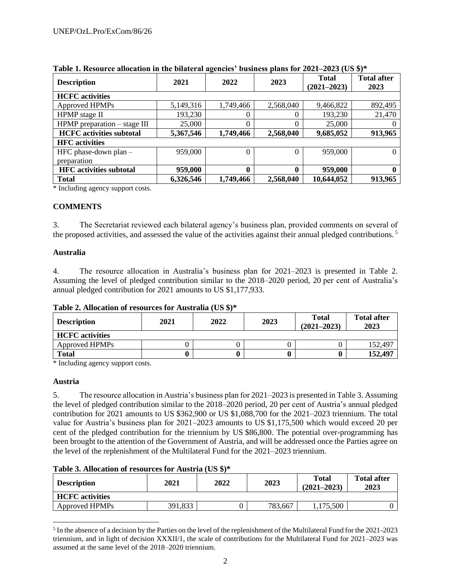| <b>Description</b>               | 2021      | 2022      | 2023      | <b>Total</b><br>$(2021 - 2023)$ | <b>Total after</b><br>2023 |
|----------------------------------|-----------|-----------|-----------|---------------------------------|----------------------------|
| <b>HCFC</b> activities           |           |           |           |                                 |                            |
| Approved HPMPs                   | 5,149,316 | 1,749,466 | 2,568,040 | 9,466,822                       | 892,495                    |
| HPMP stage II                    | 193,230   | 0         |           | 193,230                         | 21,470                     |
| $HPMP$ preparation $-$ stage III | 25,000    | 0         |           | 25,000                          |                            |
| <b>HCFC</b> activities subtotal  | 5,367,546 | 1,749,466 | 2,568,040 | 9,685,052                       | 913,965                    |
| <b>HFC</b> activities            |           |           |           |                                 |                            |
| HFC phase-down plan -            | 959,000   | 0         | $\Omega$  | 959,000                         | 0                          |
| preparation                      |           |           |           |                                 |                            |
| <b>HFC</b> activities subtotal   | 959,000   | 0         | 0         | 959,000                         | o                          |
| <b>Total</b>                     | 6,326,546 | 1,749,466 | 2,568,040 | 10,644,052                      | 913,965                    |

**Table 1. Resource allocation in the bilateral agencies' business plans for 2021–2023 (US \$)\***

\* Including agency support costs.

## **COMMENTS**

3. The Secretariat reviewed each bilateral agency's business plan, provided comments on several of the proposed activities, and assessed the value of the activities against their annual pledged contributions.<sup>5</sup>

## **Australia**

4. The resource allocation in Australia's business plan for 2021–2023 is presented in Table 2. Assuming the level of pledged contribution similar to the 2018–2020 period, 20 per cent of Australia's annual pledged contribution for 2021 amounts to US \$1,177,933.

## **Table 2. Allocation of resources for Australia (US \$)\***

| <b>Description</b>     | 2021 | 2022 | 2023 | <b>Total</b><br>$(2021 - 2023)$ | <b>Total after</b><br>2023 |
|------------------------|------|------|------|---------------------------------|----------------------------|
| <b>HCFC</b> activities |      |      |      |                                 |                            |
| Approved HPMPs         |      |      |      |                                 | 152,497                    |
| <b>Total</b>           |      |      |      |                                 | 152,497                    |

\* Including agency support costs.

## **Austria**

5. The resource allocation in Austria's business plan for 2021–2023 is presented in Table 3. Assuming the level of pledged contribution similar to the 2018–2020 period, 20 per cent of Austria's annual pledged contribution for 2021 amounts to US \$362,900 or US \$1,088,700 for the 2021–2023 triennium. The total value for Austria's business plan for 2021–2023 amounts to US \$1,175,500 which would exceed 20 per cent of the pledged contribution for the triennium by US \$86,800. The potential over-programming has been brought to the attention of the Government of Austria, and will be addressed once the Parties agree on the level of the replenishment of the Multilateral Fund for the 2021–2023 triennium.

## **Table 3. Allocation of resources for Austria (US \$)\***

| <b>Description</b>     | 2021    | 2022 | 2023    | Total<br>$(2021 - 2023)$ | <b>Total after</b><br>2023 |
|------------------------|---------|------|---------|--------------------------|----------------------------|
| <b>HCFC</b> activities |         |      |         |                          |                            |
| Approved HPMPs         | 391,833 |      | 783,667 | ,175,500                 |                            |

<sup>&</sup>lt;sup>5</sup> In the absence of a decision by the Parties on the level of the replenishment of the Multilateral Fund for the 2021-2023 triennium, and in light of decision XXXII/1, the scale of contributions for the Multilateral Fund for 2021–2023 was assumed at the same level of the 2018–2020 triennium.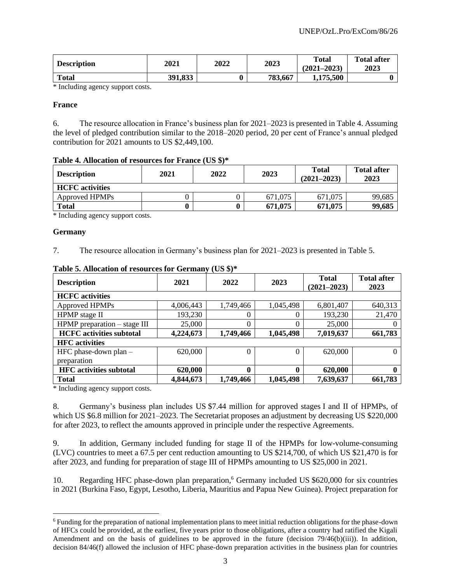| <b>Description</b> | 2021    | 2022 | 2023    | <b>Total</b><br>$(2021 - 2023)$ | <b>Total after</b><br>2023 |
|--------------------|---------|------|---------|---------------------------------|----------------------------|
| <b>Total</b>       | 391,833 |      | 783,667 | 1,175,500                       |                            |

\* Including agency support costs.

#### **France**

6. The resource allocation in France's business plan for 2021–2023 is presented in Table 4. Assuming the level of pledged contribution similar to the 2018–2020 period, 20 per cent of France's annual pledged contribution for 2021 amounts to US \$2,449,100.

#### **Table 4. Allocation of resources for France (US \$)\***

| <b>Description</b>     | 2021 | 2022 | 2023    | <b>Total</b><br>$(2021 - 2023)$ | <b>Total after</b><br>2023 |
|------------------------|------|------|---------|---------------------------------|----------------------------|
| <b>HCFC</b> activities |      |      |         |                                 |                            |
| Approved HPMPs         |      |      | 671.075 | 671.075                         | 99,685                     |
| <b>Total</b>           |      | 0    | 671,075 | 671,075                         | 99,685                     |

\* Including agency support costs.

#### **Germany**

7. The resource allocation in Germany's business plan for 2021–2023 is presented in Table 5.

| <b>Description</b>               | 2021      | 2022      | 2023      | <b>Total</b><br>$(2021 - 2023)$ | <b>Total after</b><br>2023 |
|----------------------------------|-----------|-----------|-----------|---------------------------------|----------------------------|
| <b>HCFC</b> activities           |           |           |           |                                 |                            |
| Approved HPMPs                   | 4,006,443 | 1,749,466 | 1,045,498 | 6,801,407                       | 640,313                    |
| HPMP stage II                    | 193,230   | 0         | O         | 193,230                         | 21,470                     |
| $HPMP$ preparation $-$ stage III | 25,000    | 0         | 0         | 25,000                          | 0                          |
| <b>HCFC</b> activities subtotal  | 4,224,673 | 1,749,466 | 1,045,498 | 7,019,637                       | 661,783                    |
| <b>HFC</b> activities            |           |           |           |                                 |                            |
| HFC phase-down plan $-$          | 620,000   | $\theta$  | $\Omega$  | 620,000                         | $\Omega$                   |
| preparation                      |           |           |           |                                 |                            |
| <b>HFC</b> activities subtotal   | 620,000   | $\bf{0}$  | 0         | 620,000                         | $\mathbf{0}$               |
| <b>Total</b>                     | 4,844,673 | 1,749,466 | 1,045,498 | 7,639,637                       | 661,783                    |

#### **Table 5. Allocation of resources for Germany (US \$)\***

\* Including agency support costs.

8. Germany's business plan includes US \$7.44 million for approved stages I and II of HPMPs, of which US \$6.8 million for 2021–2023. The Secretariat proposes an adjustment by decreasing US \$220,000 for after 2023, to reflect the amounts approved in principle under the respective Agreements.

9. In addition, Germany included funding for stage II of the HPMPs for low-volume-consuming (LVC) countries to meet a 67.5 per cent reduction amounting to US \$214,700, of which US \$21,470 is for after 2023, and funding for preparation of stage III of HPMPs amounting to US \$25,000 in 2021.

10. Regarding HFC phase-down plan preparation,<sup>6</sup> Germany included US \$620,000 for six countries in 2021 (Burkina Faso, Egypt, Lesotho, Liberia, Mauritius and Papua New Guinea). Project preparation for

<sup>&</sup>lt;sup>6</sup> Funding for the preparation of national implementation plans to meet initial reduction obligations for the phase-down of HFCs could be provided, at the earliest, five years prior to those obligations, after a country had ratified the Kigali Amendment and on the basis of guidelines to be approved in the future (decision 79/46(b)(iii)). In addition, decision 84/46(f) allowed the inclusion of HFC phase-down preparation activities in the business plan for countries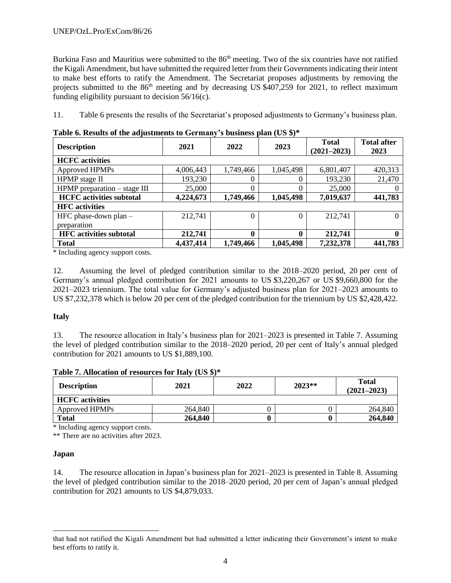Burkina Faso and Mauritius were submitted to the 86<sup>th</sup> meeting. Two of the six countries have not ratified the Kigali Amendment, but have submitted the required letter from their Governments indicating their intent to make best efforts to ratify the Amendment. The Secretariat proposes adjustments by removing the projects submitted to the 86<sup>th</sup> meeting and by decreasing US \$407,259 for 2021, to reflect maximum funding eligibility pursuant to decision 56/16(c).

11. Table 6 presents the results of the Secretariat's proposed adjustments to Germany's business plan.

| <b>Description</b>               | 2021      | 2022             | 2023         | <b>Total</b><br>$(2021 - 2023)$ | <b>Total after</b><br>2023 |
|----------------------------------|-----------|------------------|--------------|---------------------------------|----------------------------|
| <b>HCFC</b> activities           |           |                  |              |                                 |                            |
| Approved HPMPs                   | 4,006,443 | 1,749,466        | 1,045,498    | 6,801,407                       | 420,313                    |
| HPMP stage II                    | 193,230   | 0                | 0            | 193,230                         | 21,470                     |
| $HPMP$ preparation $-$ stage III | 25,000    | $\theta$         | 0            | 25,000                          | 0                          |
| <b>HCFC</b> activities subtotal  | 4,224,673 | 1,749,466        | 1,045,498    | 7,019,637                       | 441,783                    |
| <b>HFC</b> activities            |           |                  |              |                                 |                            |
| HFC phase-down plan $-$          | 212,741   | $\theta$         | $\theta$     | 212,741                         | 0                          |
| preparation                      |           |                  |              |                                 |                            |
| <b>HFC</b> activities subtotal   | 212,741   | $\boldsymbol{0}$ | $\mathbf{0}$ | 212,741                         | $\bf{0}$                   |
| <b>Total</b>                     | 4,437,414 | 1,749,466        | 1,045,498    | 7,232,378                       | 441,783                    |

**Table 6. Results of the adjustments to Germany's business plan (US \$)\***

\* Including agency support costs.

12. Assuming the level of pledged contribution similar to the 2018–2020 period, 20 per cent of Germany's annual pledged contribution for 2021 amounts to US \$3,220,267 or US \$9,660,800 for the 2021–2023 triennium. The total value for Germany's adjusted business plan for 2021–2023 amounts to US \$7,232,378 which is below 20 per cent of the pledged contribution for the triennium by US \$2,428,422.

## **Italy**

13. The resource allocation in Italy's business plan for 2021–2023 is presented in Table 7. Assuming the level of pledged contribution similar to the 2018–2020 period, 20 per cent of Italy's annual pledged contribution for 2021 amounts to US \$1,889,100.

|  |  | Table 7. Allocation of resources for Italy (US \$)* |  |  |
|--|--|-----------------------------------------------------|--|--|
|--|--|-----------------------------------------------------|--|--|

| <b>Description</b>     | 2021    | 2022 | $2023**$ | <b>Total</b><br>$(2021 - 2023)$ |
|------------------------|---------|------|----------|---------------------------------|
| <b>HCFC</b> activities |         |      |          |                                 |
| Approved HPMPs         | 264,840 |      |          | 264,840                         |
| <b>Total</b>           | 264,840 |      |          | 264,840                         |

\* Including agency support costs.

\*\* There are no activities after 2023.

## **Japan**

14. The resource allocation in Japan's business plan for 2021–2023 is presented in Table 8. Assuming the level of pledged contribution similar to the 2018–2020 period, 20 per cent of Japan's annual pledged contribution for 2021 amounts to US \$4,879,033.

that had not ratified the Kigali Amendment but had submitted a letter indicating their Government's intent to make best efforts to ratify it.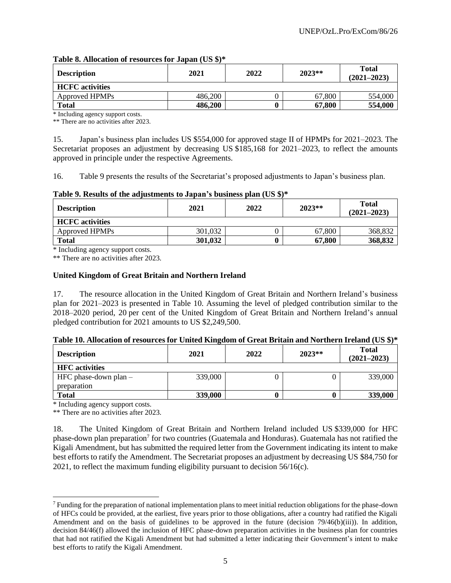## **Table 8. Allocation of resources for Japan (US \$)\***

| <b>Description</b>     | 2021    | 2022 | $2023**$ | <b>Total</b><br>$(2021 - 2023)$ |
|------------------------|---------|------|----------|---------------------------------|
| <b>HCFC</b> activities |         |      |          |                                 |
| Approved HPMPs         | 486,200 |      | 67,800   | 554,000                         |
| <b>Total</b>           | 486,200 |      | 67,800   | 554,000                         |

\* Including agency support costs.

\*\* There are no activities after 2023.

15. Japan's business plan includes US \$554,000 for approved stage II of HPMPs for 2021–2023. The Secretariat proposes an adjustment by decreasing US \$185,168 for 2021–2023, to reflect the amounts approved in principle under the respective Agreements.

16. Table 9 presents the results of the Secretariat's proposed adjustments to Japan's business plan.

## **Table 9. Results of the adjustments to Japan's business plan (US \$)\***

| <b>Description</b>     | 2021    | 2022 | $2023**$ | <b>Total</b><br>$(2021 - 2023)$ |  |  |  |  |
|------------------------|---------|------|----------|---------------------------------|--|--|--|--|
| <b>HCFC</b> activities |         |      |          |                                 |  |  |  |  |
| Approved HPMPs         | 301,032 |      | 67,800   | 368,832                         |  |  |  |  |
| Total                  | 301,032 |      | 67,800   | 368,832                         |  |  |  |  |

\* Including agency support costs.

\*\* There are no activities after 2023.

## **United Kingdom of Great Britain and Northern Ireland**

17. The resource allocation in the United Kingdom of Great Britain and Northern Ireland's business plan for 2021–2023 is presented in Table 10. Assuming the level of pledged contribution similar to the 2018–2020 period, 20 per cent of the United Kingdom of Great Britain and Northern Ireland's annual pledged contribution for 2021 amounts to US \$2,249,500.

## **Table 10. Allocation of resources for United Kingdom of Great Britain and Northern Ireland (US \$)\***

| <b>Description</b>                     | 2021    | 2022 | $2023**$ | <b>Total</b><br>$(2021 - 2023)$ |
|----------------------------------------|---------|------|----------|---------------------------------|
| <b>HFC</b> activities                  |         |      |          |                                 |
| HFC phase-down plan $-$<br>preparation | 339,000 |      |          | 339,000                         |
| <b>Total</b>                           | 339,000 |      |          | 339,000                         |

\* Including agency support costs.

\*\* There are no activities after 2023.

18. The United Kingdom of Great Britain and Northern Ireland included US \$339,000 for HFC phase-down plan preparation<sup>7</sup> for two countries (Guatemala and Honduras). Guatemala has not ratified the Kigali Amendment, but has submitted the required letter from the Government indicating its intent to make best efforts to ratify the Amendment. The Secretariat proposes an adjustment by decreasing US \$84,750 for 2021, to reflect the maximum funding eligibility pursuant to decision 56/16(c).

<sup>7</sup> Funding for the preparation of national implementation plans to meet initial reduction obligations for the phase-down of HFCs could be provided, at the earliest, five years prior to those obligations, after a country had ratified the Kigali Amendment and on the basis of guidelines to be approved in the future (decision 79/46(b)(iii)). In addition, decision 84/46(f) allowed the inclusion of HFC phase-down preparation activities in the business plan for countries that had not ratified the Kigali Amendment but had submitted a letter indicating their Government's intent to make best efforts to ratify the Kigali Amendment.